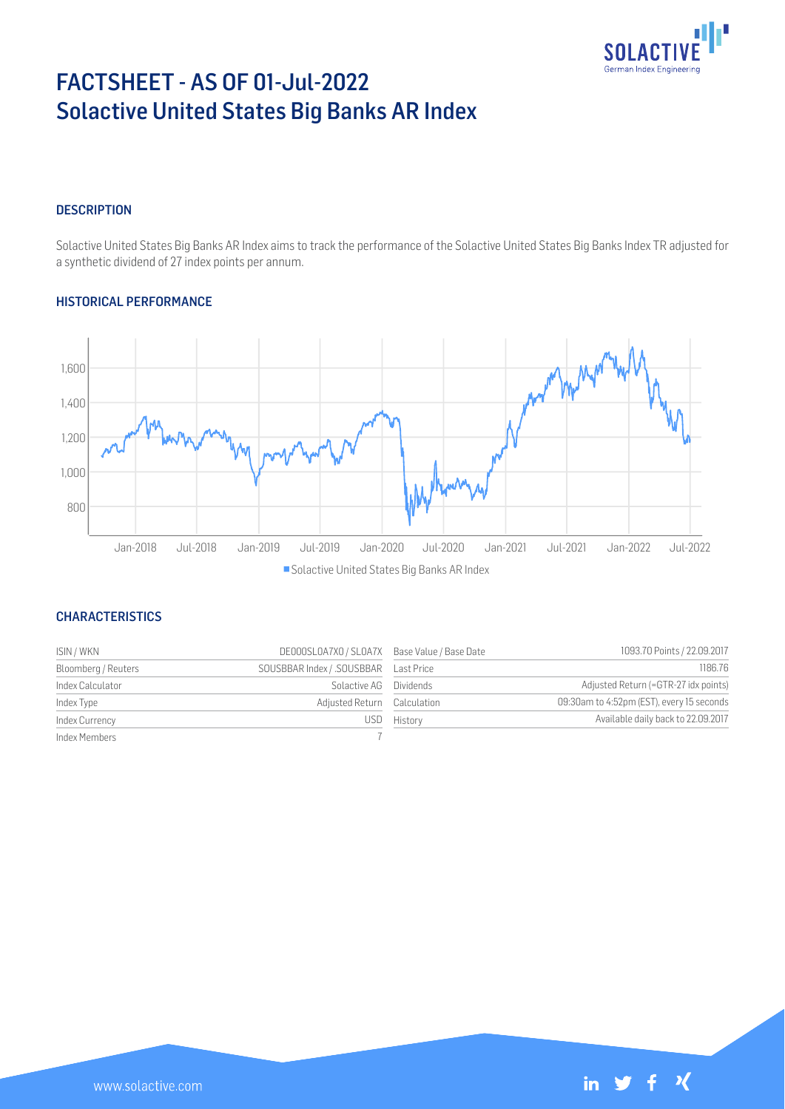

# FACTSHEET - AS OF 01-Jul-2022 Solactive United States Big Banks AR Index

### **DESCRIPTION**

Solactive United States Big Banks AR Index aims to track the performance of the Solactive United States Big Banks Index TR adjusted for a synthetic dividend of 27 index points per annum.

### HISTORICAL PERFORMANCE



**Solactive United States Big Banks AR Index** 

### **CHARACTERISTICS**

| ISIN / WKN          | DE000SL0A7X0 / SL0A7X Base Value / Base Date |             | 1093.70 Points / 22.09.2017               |
|---------------------|----------------------------------------------|-------------|-------------------------------------------|
| Bloomberg / Reuters |                                              |             | 1186.76                                   |
| Index Calculator    | Solactive AG Dividends                       |             | Adjusted Return (=GTR-27 idx points)      |
| Index Type          | Adjusted Return Calculation                  |             | 09:30am to 4:52pm (EST), every 15 seconds |
| Index Currency      |                                              | USD History | Available daily back to 22.09.2017        |
| Index Members       |                                              |             |                                           |



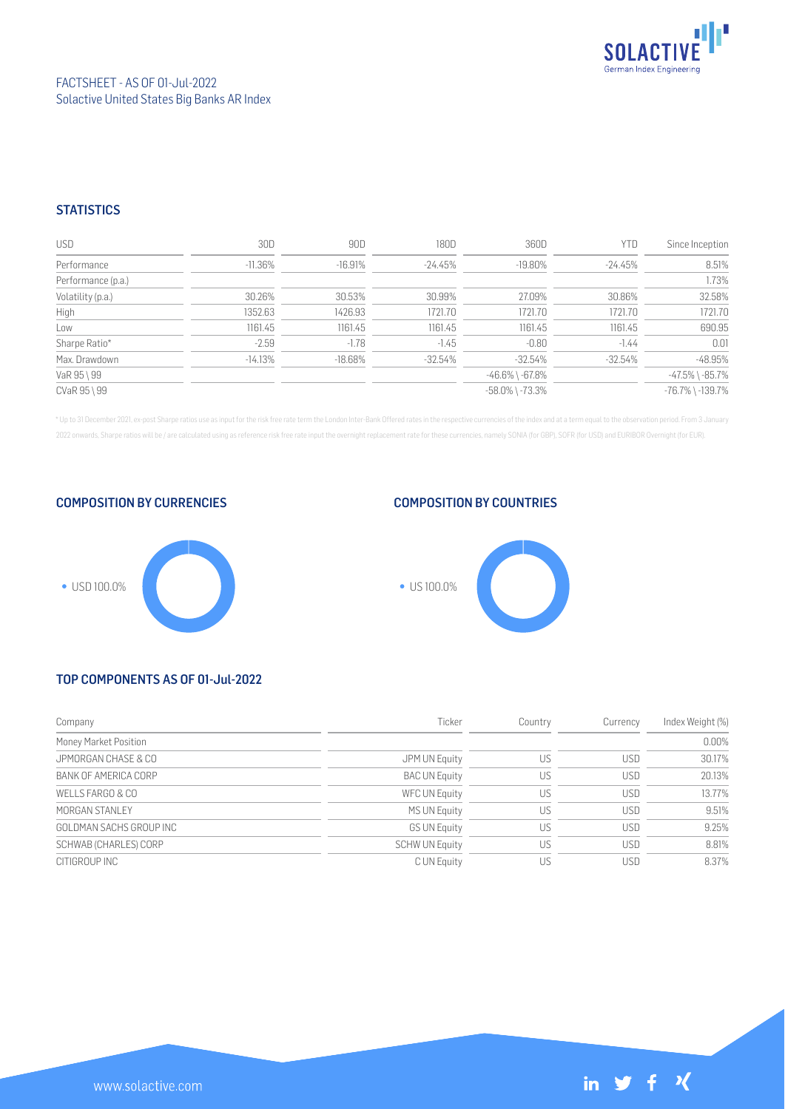

### **STATISTICS**

| <b>USD</b>         | 30D        | 90D       | 180D       | 360D                  | YTD        | Since Inception        |
|--------------------|------------|-----------|------------|-----------------------|------------|------------------------|
| Performance        | -11.36%    | $-16.91%$ | $-24.45\%$ | $-19.80\%$            | -24.45%    | 8.51%                  |
| Performance (p.a.) |            |           |            |                       |            | 1.73%                  |
| Volatility (p.a.)  | 30.26%     | 30.53%    | 30.99%     | 27.09%                | 30.86%     | 32.58%                 |
| High               | 1352.63    | 1426.93   | 1721.70    | 1721.70               | 1721.70    | 1721.70                |
| Low                | 1161.45    | 1161.45   | 1161.45    | 1161.45               | 1161.45    | 690.95                 |
| Sharpe Ratio*      | $-2.59$    | $-1.78$   | $-1.45$    | $-0.80$               | $-1.44$    | 0.01                   |
| Max. Drawdown      | $-14.13\%$ | $-18.68%$ | $-32.54%$  | $-32.54%$             | $-32.54\%$ | $-48.95%$              |
| VaR 95 \ 99        |            |           |            | $-46.6\%$ \ $-67.8\%$ |            | $-47.5\%$ \ $-85.7\%$  |
| CVaR 95 \ 99       |            |           |            | $-58.0\%$ \ $-73.3\%$ |            | $-76.7\%$ \ $-139.7\%$ |

\* Up to 31 December 2021, ex-post Sharpe ratios use as input for the risk free rate term the London Inter-Bank Offered rates in the respective currencies of the index and at a term equal to the observation period. From 3 J 2022 onwards, Sharpe ratios will be / are calculated using as reference risk free rate input the overnight replacement rate for these currencies, namely SONIA (for GBP), SOFR (for USD) and EURIBOR Overnight (for EUR).

COMPOSITION BY CURRENCIES

# USD 100.0%

## COMPOSITION BY COUNTRIES



### TOP COMPONENTS AS OF 01-Jul-2022

| Company                 | Ticker                | Country | Currency   | Index Weight (%) |
|-------------------------|-----------------------|---------|------------|------------------|
| Money Market Position   |                       |         |            | 0.00%            |
| JPMORGAN CHASE & CO     | JPM UN Equity         | US      | USD        | 30.17%           |
| BANK OF AMERICA CORP    | <b>BAC UN Equity</b>  | US      | <b>USD</b> | 20.13%           |
| WELLS FARGO & CO        | WFC UN Equity         | US      | <b>USD</b> | 13.77%           |
| MORGAN STANLEY          | MS UN Equity          | US      | USD        | 9.51%            |
| GOLDMAN SACHS GROUP INC | <b>GS UN Equity</b>   | US      | USD        | 9.25%            |
| SCHWAB (CHARLES) CORP   | <b>SCHW UN Equity</b> | US      | USD        | 8.81%            |
| CITIGROUP INC           | C UN Equity           | US      | USD        | 8.37%            |